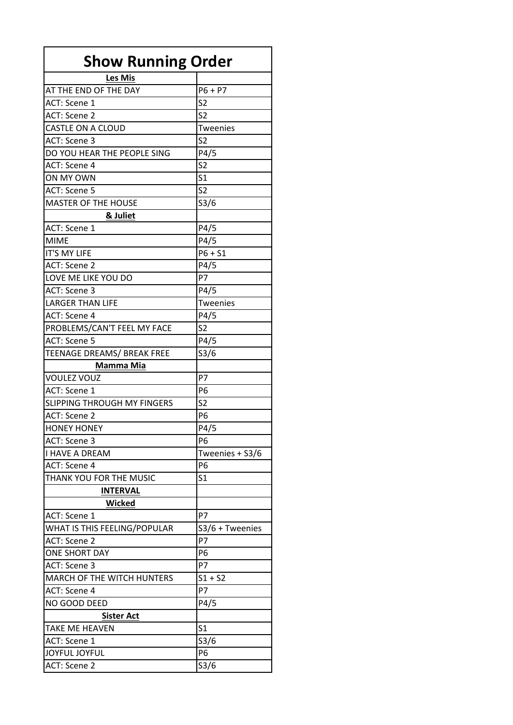| <b>Show Running Order</b>          |                 |
|------------------------------------|-----------------|
| Les Mis                            |                 |
| AT THE END OF THE DAY              | $P6 + P7$       |
| ACT: Scene 1                       | S <sub>2</sub>  |
| ACT: Scene 2                       | S <sub>2</sub>  |
| CASTLE ON A CLOUD                  | Tweenies        |
| ACT: Scene 3                       | S <sub>2</sub>  |
| DO YOU HEAR THE PEOPLE SING        | P4/5            |
| ACT: Scene 4                       | S <sub>2</sub>  |
| ON MY OWN                          | S <sub>1</sub>  |
| ACT: Scene 5                       | S <sub>2</sub>  |
| <b>MASTER OF THE HOUSE</b>         | S3/6            |
|                                    |                 |
| & Juliet<br>ACT: Scene 1           |                 |
|                                    | P4/5            |
| <b>MIME</b>                        | P4/5            |
| <b>IT'S MY LIFE</b>                | $P6 + S1$       |
| ACT: Scene 2                       | P4/5            |
| LOVE ME LIKE YOU DO                | P7              |
| ACT: Scene 3                       | P4/5            |
| <b>LARGER THAN LIFE</b>            | <b>Tweenies</b> |
| ACT: Scene 4                       | P4/5            |
| PROBLEMS/CAN'T FEEL MY FACE        | S <sub>2</sub>  |
| ACT: Scene 5                       | P4/5            |
| TEENAGE DREAMS/ BREAK FREE         | S3/6            |
| Mamma Mia                          |                 |
| <b>VOULEZ VOUZ</b>                 | P7              |
| ACT: Scene 1                       | P <sub>6</sub>  |
| <b>SLIPPING THROUGH MY FINGERS</b> | S <sub>2</sub>  |
| ACT: Scene 2                       | P <sub>6</sub>  |
| <b>HONEY HONEY</b>                 | P4/5            |
| ACT: Scene 3                       | P <sub>6</sub>  |
| <b>I HAVE A DREAM</b>              | Tweenies + S3/6 |
| ACT: Scene 4                       | P6              |
| THANK YOU FOR THE MUSIC            | S1              |
| <u>INTERVAL</u>                    |                 |
| Wicked                             |                 |
| ACT: Scene 1                       | P7              |
| WHAT IS THIS FEELING/POPULAR       | S3/6 + Tweenies |
| ACT: Scene 2                       | P7              |
| <b>ONE SHORT DAY</b>               | P6              |
| ACT: Scene 3                       | P7              |
| <b>MARCH OF THE WITCH HUNTERS</b>  | $S1 + S2$       |
| ACT: Scene 4                       | P7              |
| NO GOOD DEED                       | P4/5            |
|                                    |                 |
| <b>Sister Act</b>                  | S <sub>1</sub>  |
| TAKE ME HEAVEN                     |                 |
| ACT: Scene 1                       | S3/6            |
| JOYFUL JOYFUL                      |                 |
| ACT: Scene 2                       | P6<br>S3/6      |